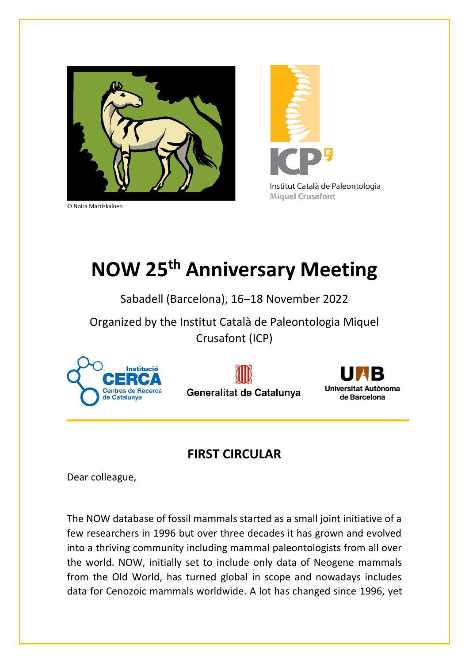

© Noira Martiskainen



## **NOW 25th Anniversary Meeting**

## Sabadell (Barcelona), 16–18 November 2022

Organized by the Institut Català de Paleontologia Miquel Crusafont (ICP)







## **FIRST CIRCULAR**

Dear colleague,

The NOW database of fossil mammals started as a small joint initiative of a few researchers in 1996 but over three decades it has grown and evolved into a thriving community including mammal paleontologists from all over the world. NOW, initially set to include only data of Neogene mammals from the Old World, has turned global in scope and nowadays includes data for Cenozoic mammals worldwide. A lot has changed since 1996, yet